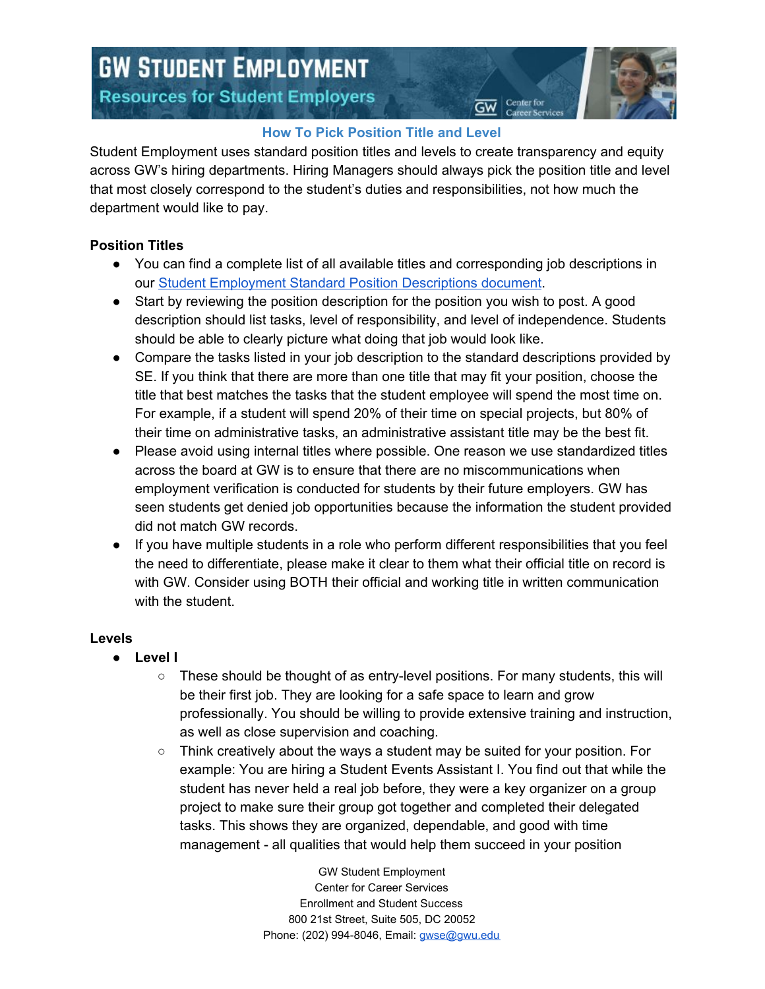# **GW STUDENT EMPLOYMENT Resources for Student Employers**



Center for

# **How To Pick Position Title and Level**

Student Employment uses standard position titles and levels to create transparency and equity across GW's hiring departments. Hiring Managers should always pick the position title and level that most closely correspond to the student's duties and responsibilities, not how much the department would like to pay.

## **Position Titles**

- You can find a complete list of all available titles and corresponding job descriptions in our Student [Employment](https://docs.google.com/document/d/1tQJbctJi20SzFhV6We2Kh4mzGVZgEHeyNbMOTHWqHD0/edit) Standard Position Descriptions document.
- Start by reviewing the position description for the position you wish to post. A good description should list tasks, level of responsibility, and level of independence. Students should be able to clearly picture what doing that job would look like.
- Compare the tasks listed in your job description to the standard descriptions provided by SE. If you think that there are more than one title that may fit your position, choose the title that best matches the tasks that the student employee will spend the most time on. For example, if a student will spend 20% of their time on special projects, but 80% of their time on administrative tasks, an administrative assistant title may be the best fit.
- Please avoid using internal titles where possible. One reason we use standardized titles across the board at GW is to ensure that there are no miscommunications when employment verification is conducted for students by their future employers. GW has seen students get denied job opportunities because the information the student provided did not match GW records.
- If you have multiple students in a role who perform different responsibilities that you feel the need to differentiate, please make it clear to them what their official title on record is with GW. Consider using BOTH their official and working title in written communication with the student.

### **Levels**

- **Level I**
	- $\circ$  These should be thought of as entry-level positions. For many students, this will be their first job. They are looking for a safe space to learn and grow professionally. You should be willing to provide extensive training and instruction, as well as close supervision and coaching.
	- $\circ$  Think creatively about the ways a student may be suited for your position. For example: You are hiring a Student Events Assistant I. You find out that while the student has never held a real job before, they were a key organizer on a group project to make sure their group got together and completed their delegated tasks. This shows they are organized, dependable, and good with time management - all qualities that would help them succeed in your position

GW Student Employment Center for Career Services Enrollment and Student Success 800 21st Street, Suite 505, DC 20052 Phone: (202) 994-8046, Email: [gwse@gwu.edu](mailto:gwse@gwu.edu)